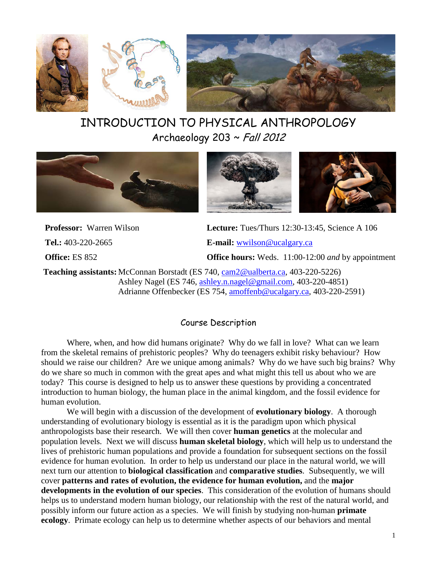

# INTRODUCTION TO PHYSICAL ANTHROPOLOGY Archaeology 203 ~ Fall 2012



**Professor:** Warren Wilson **Lecture:** Tues/Thurs 12:30-13:45, Science A 106 **Tel.:** 403-220-2665 **E-mail:** [wwilson@ucalgary.ca](mailto:wwilson@ucalgary.ca) **Office:** ES 852 **Office hours:** Weds. 11:00-12:00 *and* by appointment

**Teaching assistants:** McConnan Borstadt (ES 740, [cam2@ualberta.ca,](mailto:cam2@ualberta.ca) 403-220-5226) Ashley Nagel (ES 746, [ashley.n.nagel@gmail.com,](mailto:ashley.n.nagel@gmail.com) 403-220-4851) Adrianne Offenbecker (ES 754, [amoffenb@ucalgary.ca,](mailto:amoffenb@ucalgary.ca) 403-220-2591)

# Course Description

Where, when, and how did humans originate? Why do we fall in love? What can we learn from the skeletal remains of prehistoric peoples? Why do teenagers exhibit risky behaviour? How should we raise our children? Are we unique among animals? Why do we have such big brains? Why do we share so much in common with the great apes and what might this tell us about who we are today? This course is designed to help us to answer these questions by providing a concentrated introduction to human biology, the human place in the animal kingdom, and the fossil evidence for human evolution.

We will begin with a discussion of the development of **evolutionary biology**. A thorough understanding of evolutionary biology is essential as it is the paradigm upon which physical anthropologists base their research. We will then cover **human genetics** at the molecular and population levels. Next we will discuss **human skeletal biology**, which will help us to understand the lives of prehistoric human populations and provide a foundation for subsequent sections on the fossil evidence for human evolution. In order to help us understand our place in the natural world, we will next turn our attention to **biological classification** and **comparative studies**. Subsequently, we will cover **patterns and rates of evolution, the evidence for human evolution,** and the **major developments in the evolution of our species**. This consideration of the evolution of humans should helps us to understand modern human biology, our relationship with the rest of the natural world, and possibly inform our future action as a species. We will finish by studying non-human **primate ecology**. Primate ecology can help us to determine whether aspects of our behaviors and mental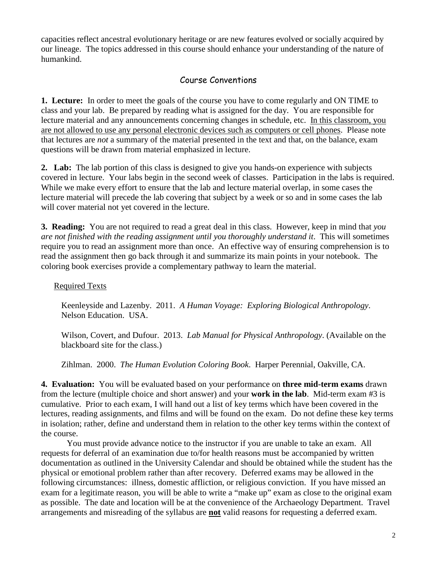capacities reflect ancestral evolutionary heritage or are new features evolved or socially acquired by our lineage. The topics addressed in this course should enhance your understanding of the nature of humankind.

# Course Conventions

**1. Lecture:**In order to meet the goals of the course you have to come regularly and ON TIME to class and your lab. Be prepared by reading what is assigned for the day. You are responsible for lecture material and any announcements concerning changes in schedule, etc. In this classroom, you are not allowed to use any personal electronic devices such as computers or cell phones. Please note that lectures are *not* a summary of the material presented in the text and that, on the balance, exam questions will be drawn from material emphasized in lecture.

**2. Lab:** The lab portion of this class is designed to give you hands-on experience with subjects covered in lecture. Your labs begin in the second week of classes. Participation in the labs is required. While we make every effort to ensure that the lab and lecture material overlap, in some cases the lecture material will precede the lab covering that subject by a week or so and in some cases the lab will cover material not yet covered in the lecture.

**3. Reading:** You are not required to read a great deal in this class. However, keep in mind that *you are not finished with the reading assignment until you thoroughly understand it*. This will sometimes require you to read an assignment more than once. An effective way of ensuring comprehension is to read the assignment then go back through it and summarize its main points in your notebook. The coloring book exercises provide a complementary pathway to learn the material.

# Required Texts

Keenleyside and Lazenby. 2011. *A Human Voyage: Exploring Biological Anthropology*. Nelson Education. USA.

Wilson, Covert, and Dufour. 2013. *Lab Manual for Physical Anthropology*. (Available on the blackboard site for the class.)

Zihlman. 2000. *The Human Evolution Coloring Book*. Harper Perennial, Oakville, CA.

**4. Evaluation:** You will be evaluated based on your performance on **three mid-term exams** drawn from the lecture (multiple choice and short answer) and your **work in the lab**. Mid-term exam #3 is cumulative. Prior to each exam, I will hand out a list of key terms which have been covered in the lectures, reading assignments, and films and will be found on the exam. Do not define these key terms in isolation; rather, define and understand them in relation to the other key terms within the context of the course.

You must provide advance notice to the instructor if you are unable to take an exam. All requests for deferral of an examination due to/for health reasons must be accompanied by written documentation as outlined in the University Calendar and should be obtained while the student has the physical or emotional problem rather than after recovery. Deferred exams may be allowed in the following circumstances: illness, domestic affliction, or religious conviction. If you have missed an exam for a legitimate reason, you will be able to write a "make up" exam as close to the original exam as possible. The date and location will be at the convenience of the Archaeology Department. Travel arrangements and misreading of the syllabus are **not** valid reasons for requesting a deferred exam.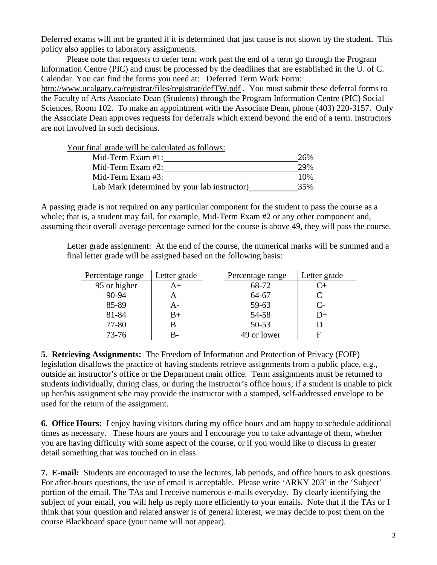Deferred exams will not be granted if it is determined that just cause is not shown by the student. This policy also applies to laboratory assignments.

Please note that requests to defer term work past the end of a term go through the Program Information Centre (PIC) and must be processed by the deadlines that are established in the U. of C. Calendar. You can find the forms you need at: Deferred Term Work Form:

http://www.ucalgary.ca/registrar/files/registrar/defTW.pdf . You must submit these deferral forms to the Faculty of Arts Associate Dean (Students) through the Program Information Centre (PIC) Social Sciences, Room 102. To make an appointment with the Associate Dean, phone (403) 220-3157. Only the Associate Dean approves requests for deferrals which extend beyond the end of a term. Instructors are not involved in such decisions.

Your final grade will be calculated as follows:

| Mid-Term Exam $#1$ :                         | 26% |
|----------------------------------------------|-----|
| Mid-Term Exam $#2$ :                         | 29% |
| Mid-Term Exam $#3$ :                         | 10% |
| Lab Mark (determined by your lab instructor) | 35% |

A passing grade is not required on any particular component for the student to pass the course as a whole; that is, a student may fail, for example, Mid-Term Exam #2 or any other component and, assuming their overall average percentage earned for the course is above 49, they will pass the course.

Letter grade assignment: At the end of the course, the numerical marks will be summed and a final letter grade will be assigned based on the following basis:

| Percentage range | Letter grade | Percentage range | Letter grade |
|------------------|--------------|------------------|--------------|
| 95 or higher     | A+           | 68-72            | C+           |
| 90-94            |              | 64-67            |              |
| 85-89            | А-           | 59-63            | $C-$         |
| 81-84            | B+           | 54-58            | D+           |
| 77-80            | В            | $50 - 53$        |              |
| 73-76            | B-           | 49 or lower      | F            |

**5. Retrieving Assignments:** The Freedom of Information and Protection of Privacy (FOIP) legislation disallows the practice of having students retrieve assignments from a public place, e.g., outside an instructor's office or the Department main office. Term assignments must be returned to students individually, during class, or during the instructor's office hours; if a student is unable to pick up her/his assignment s/he may provide the instructor with a stamped, self-addressed envelope to be used for the return of the assignment.

**6. Office Hours:**I enjoy having visitors during my office hours and am happy to schedule additional times as necessary. These hours are yours and I encourage you to take advantage of them, whether you are having difficulty with some aspect of the course, or if you would like to discuss in greater detail something that was touched on in class.

**7. E-mail:** Students are encouraged to use the lectures, lab periods, and office hours to ask questions. For after-hours questions, the use of email is acceptable. Please write 'ARKY 203' in the 'Subject' portion of the email. The TAs and I receive numerous e-mails everyday. By clearly identifying the subject of your email, you will help us reply more efficiently to your emails. Note that if the TAs or I think that your question and related answer is of general interest, we may decide to post them on the course Blackboard space (your name will not appear).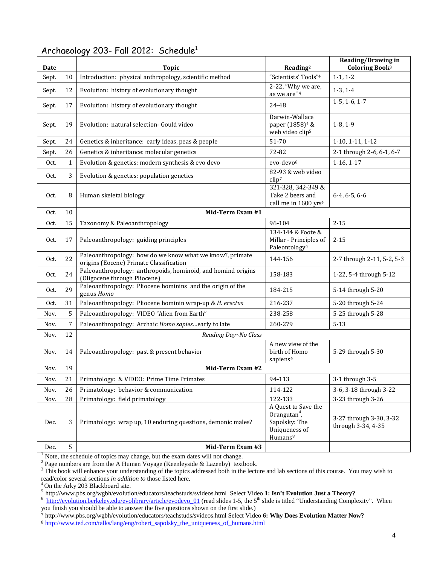| Date  |                | <b>Topic</b>                                                                                        | $\bf Reading^2$                                                                                          | <b>Reading/Drawing in</b><br>Coloring Book <sup>3</sup> |  |  |
|-------|----------------|-----------------------------------------------------------------------------------------------------|----------------------------------------------------------------------------------------------------------|---------------------------------------------------------|--|--|
| Sept. | 10             | Introduction: physical anthropology, scientific method                                              | "Scientists' Tools" <sup>4</sup>                                                                         | $1-1, 1-2$                                              |  |  |
| Sept. | 12             | Evolution: history of evolutionary thought                                                          | 2-22, "Why we are,<br>as we are" <sup>4</sup>                                                            | $1-3, 1-4$                                              |  |  |
| Sept. | 17             | Evolution: history of evolutionary thought                                                          | 24-48                                                                                                    | $1-5, 1-6, 1-7$                                         |  |  |
| Sept. | 19             | Evolution: natural selection- Gould video                                                           | Darwin-Wallace<br>paper (1858) <sup>4</sup> &<br>web video clip <sup>5</sup>                             | $1-8, 1-9$                                              |  |  |
| Sept. | 24             | Genetics & inheritance: early ideas, peas & people                                                  | 51-70                                                                                                    | 1-10, 1-11, 1-12                                        |  |  |
| Sept. | 26             | Genetics & inheritance: molecular genetics                                                          | 72-82                                                                                                    | 2-1 through 2-6, 6-1, 6-7                               |  |  |
| Oct.  | $\mathbf{1}$   | Evolution & genetics: modern synthesis & evo devo                                                   | evo-devo <sup>6</sup>                                                                                    | $1-16, 1-17$                                            |  |  |
| Oct.  | 3              | Evolution & genetics: population genetics                                                           | 82-93 & web video<br>clip <sup>7</sup>                                                                   |                                                         |  |  |
| Oct.  | 8              | Human skeletal biology                                                                              | 321-328, 342-349 &<br>Take 2 beers and<br>call me in 1600 yrs <sup>4</sup>                               | $6-4, 6-5, 6-6$                                         |  |  |
| Oct.  | 10             | Mid-Term Exam #1                                                                                    |                                                                                                          |                                                         |  |  |
| Oct.  | 15             | Taxonomy & Paleoanthropology                                                                        | 96-104                                                                                                   | $2 - 15$                                                |  |  |
| Oct.  | 17             | Paleoanthropology: guiding principles                                                               | 134-144 & Foote &<br>Millar - Principles of<br>Paleontology <sup>4</sup>                                 | $2 - 15$                                                |  |  |
| Oct.  | 22             | Paleoanthropology: how do we know what we know?, primate<br>origins (Eocene) Primate Classification | 144-156                                                                                                  | 2-7 through 2-11, 5-2, 5-3                              |  |  |
| Oct.  | 24             | Paleoanthropology: anthropoids, hominoid, and homind origins<br>(Oligocene through Pliocene)        | 158-183                                                                                                  | 1-22, 5-4 through 5-12                                  |  |  |
| Oct.  | 29             | Paleoanthropology: Pliocene hominins and the origin of the<br>genus Homo                            | 184-215                                                                                                  | 5-14 through 5-20                                       |  |  |
| Oct.  | 31             | Paleoanthropology: Pliocene hominin wrap-up & H. erectus                                            | 216-237                                                                                                  | 5-20 through 5-24                                       |  |  |
| Nov.  | 5              | Paleoanthropology: VIDEO "Alien from Earth"                                                         | 238-258                                                                                                  | 5-25 through 5-28                                       |  |  |
| Nov.  | $\overline{7}$ | Paleoanthropology: Archaic Homo sapiesearly to late                                                 | 260-279                                                                                                  | $5 - 13$                                                |  |  |
| Nov.  | 12             | Reading Day~No Class                                                                                |                                                                                                          |                                                         |  |  |
| Nov.  | 14             | Paleoanthropology: past & present behavior                                                          | A new view of the<br>birth of Homo<br>sapiens <sup>4</sup>                                               | 5-29 through 5-30                                       |  |  |
| Nov.  | 19             | Mid-Term Exam #2                                                                                    |                                                                                                          |                                                         |  |  |
| Nov.  | 21             | Primatology: & VIDEO: Prime Time Primates                                                           | 94-113                                                                                                   | 3-1 through 3-5                                         |  |  |
| Nov.  | 26             | Primatology: behavior & communication                                                               | 114-122                                                                                                  | 3-6, 3-18 through 3-22                                  |  |  |
| Nov.  | 28             | Primatology: field primatology                                                                      | 122-133                                                                                                  | 3-23 through 3-26                                       |  |  |
| Dec.  | $\mathbf{3}$   | Primatology: wrap up, 10 enduring questions, demonic males?                                         | A Quest to Save the<br>Orangutan <sup>4</sup> ,<br>Sapolsky: The<br>Uniqueness of<br>Humans <sup>8</sup> | 3-27 through 3-30, 3-32<br>through 3-34, 4-35           |  |  |
| Dec.  | 5              | Mid-Term Exam #3                                                                                    |                                                                                                          |                                                         |  |  |

# Archaeology 203- Fall 2012: Schedule<sup>1</sup>

 $1$  Note, the schedule of topics may change, but the exam dates will not change.

5<http://www.pbs.org/wgbh/evolution/educators/teachstuds/svideos.html>Select Video **1: Isn't Evolution Just a Theory?** <sup>6</sup>

 $\frac{h_{\text{t}}(t)}{h_{\text{t}}(t)}$  is the substrated the state of the state of the slides 1-5, the 5<sup>th</sup> slide is titled "Understanding Complexity". When you finish you should be able to answer the five questions shown on the first slide.)

<sup>7</sup> http://www.pbs.org/wgbh/evolution/educators/teachstuds/svideos.html Select Video **6: Why Does Evolution Matter Now?**

<sup>&</sup>lt;sup>2</sup> Page numbers are from the <u>A Human Voyage</u> (Keenleyside & Lazenby) textbook.<br><sup>3</sup> This book will enhance your understanding of the topics addressed both in the lecture and lab sections of this course. You may wish to read/color several sections *in addition to* those listed here. 4 On the Arky 203 Blackboard site.

<sup>8</sup> [http://www.ted.com/talks/lang/eng/robert\\_sapolsky\\_the\\_uniqueness\\_of\\_humans.html](http://www.ted.com/talks/lang/eng/robert_sapolsky_the_uniqueness_of_humans.html)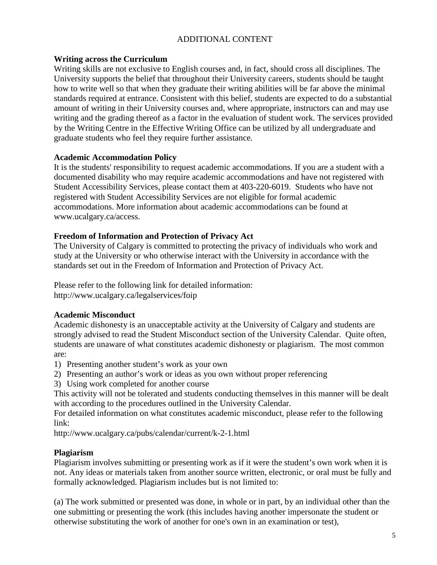# ADDITIONAL CONTENT

#### **Writing across the Curriculum**

Writing skills are not exclusive to English courses and, in fact, should cross all disciplines. The University supports the belief that throughout their University careers, students should be taught how to write well so that when they graduate their writing abilities will be far above the minimal standards required at entrance. Consistent with this belief, students are expected to do a substantial amount of writing in their University courses and, where appropriate, instructors can and may use writing and the grading thereof as a factor in the evaluation of student work. The services provided by the Writing Centre in the Effective Writing Office can be utilized by all undergraduate and graduate students who feel they require further assistance.

#### **Academic Accommodation Policy**

It is the students' responsibility to request academic accommodations. If you are a student with a documented disability who may require academic accommodations and have not registered with Student Accessibility Services, please contact them at 403-220-6019. Students who have not registered with Student Accessibility Services are not eligible for formal academic accommodations. More information about academic accommodations can be found at www.ucalgary.ca/access.

#### **Freedom of Information and Protection of Privacy Act**

The University of Calgary is committed to protecting the privacy of individuals who work and study at the University or who otherwise interact with the University in accordance with the standards set out in the Freedom of Information and Protection of Privacy Act.

Please refer to the following link for detailed information: http://www.ucalgary.ca/legalservices/foip

# **Academic Misconduct**

Academic dishonesty is an unacceptable activity at the University of Calgary and students are strongly advised to read the Student Misconduct section of the University Calendar. Quite often, students are unaware of what constitutes academic dishonesty or plagiarism. The most common are:

- 1) Presenting another student's work as your own
- 2) Presenting an author's work or ideas as you own without proper referencing
- 3) Using work completed for another course

This activity will not be tolerated and students conducting themselves in this manner will be dealt with according to the procedures outlined in the University Calendar.

For detailed information on what constitutes academic misconduct, please refer to the following link:

http://www.ucalgary.ca/pubs/calendar/current/k-2-1.html

# **Plagiarism**

Plagiarism involves submitting or presenting work as if it were the student's own work when it is not. Any ideas or materials taken from another source written, electronic, or oral must be fully and formally acknowledged. Plagiarism includes but is not limited to:

(a) The work submitted or presented was done, in whole or in part, by an individual other than the one submitting or presenting the work (this includes having another impersonate the student or otherwise substituting the work of another for one's own in an examination or test),